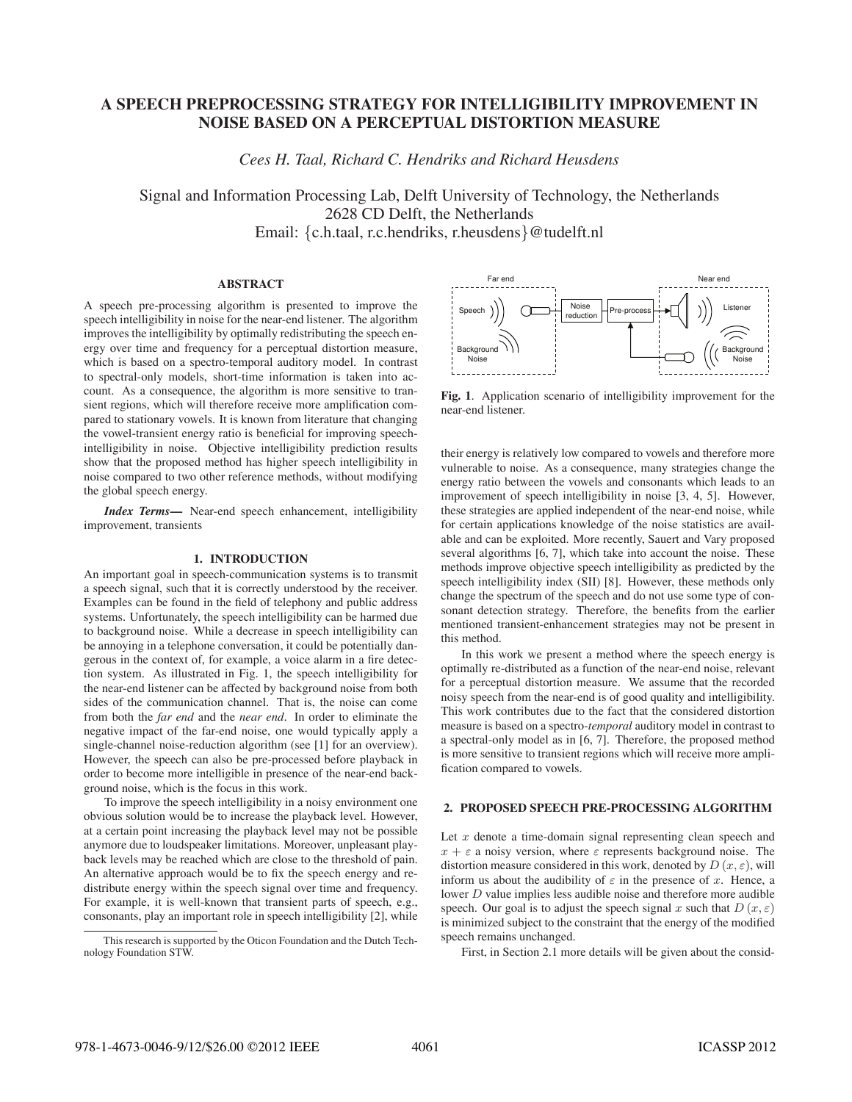# **A SPEECH PREPROCESSING STRATEGY FOR INTELLIGIBILITY IMPROVEMENT IN NOISE BASED ON A PERCEPTUAL DISTORTION MEASURE**

*Cees H. Taal, Richard C. Hendriks and Richard Heusdens*

Signal and Information Processing Lab, Delft University of Technology, the Netherlands 2628 CD Delft, the Netherlands Email: {c.h.taal, r.c.hendriks, r.heusdens}@tudelft.nl

# **ABSTRACT**

A speech pre-processing algorithm is presented to improve the speech intelligibility in noise for the near-end listener. The algorithm improves the intelligibility by optimally redistributing the speech energy over time and frequency for a perceptual distortion measure, which is based on a spectro-temporal auditory model. In contrast to spectral-only models, short-time information is taken into account. As a consequence, the algorithm is more sensitive to transient regions, which will therefore receive more amplification compared to stationary vowels. It is known from literature that changing the vowel-transient energy ratio is beneficial for improving speechintelligibility in noise. Objective intelligibility prediction results show that the proposed method has higher speech intelligibility in noise compared to two other reference methods, without modifying the global speech energy.

*Index Terms***—** Near-end speech enhancement, intelligibility improvement, transients

# **1. INTRODUCTION**

An important goal in speech-communication systems is to transmit a speech signal, such that it is correctly understood by the receiver. Examples can be found in the field of telephony and public address systems. Unfortunately, the speech intelligibility can be harmed due to background noise. While a decrease in speech intelligibility can be annoying in a telephone conversation, it could be potentially dangerous in the context of, for example, a voice alarm in a fire detection system. As illustrated in Fig. 1, the speech intelligibility for the near-end listener can be affected by background noise from both sides of the communication channel. That is, the noise can come from both the *far end* and the *near end*. In order to eliminate the negative impact of the far-end noise, one would typically apply a single-channel noise-reduction algorithm (see [1] for an overview). However, the speech can also be pre-processed before playback in order to become more intelligible in presence of the near-end background noise, which is the focus in this work.

To improve the speech intelligibility in a noisy environment one obvious solution would be to increase the playback level. However, at a certain point increasing the playback level may not be possible anymore due to loudspeaker limitations. Moreover, unpleasant playback levels may be reached which are close to the threshold of pain. An alternative approach would be to fix the speech energy and redistribute energy within the speech signal over time and frequency. For example, it is well-known that transient parts of speech, e.g., consonants, play an important role in speech intelligibility [2], while



**Fig. 1**. Application scenario of intelligibility improvement for the near-end listener.

their energy is relatively low compared to vowels and therefore more vulnerable to noise. As a consequence, many strategies change the energy ratio between the vowels and consonants which leads to an improvement of speech intelligibility in noise [3, 4, 5]. However, these strategies are applied independent of the near-end noise, while for certain applications knowledge of the noise statistics are available and can be exploited. More recently, Sauert and Vary proposed several algorithms [6, 7], which take into account the noise. These methods improve objective speech intelligibility as predicted by the speech intelligibility index (SII) [8]. However, these methods only change the spectrum of the speech and do not use some type of consonant detection strategy. Therefore, the benefits from the earlier mentioned transient-enhancement strategies may not be present in this method.

In this work we present a method where the speech energy is optimally re-distributed as a function of the near-end noise, relevant for a perceptual distortion measure. We assume that the recorded noisy speech from the near-end is of good quality and intelligibility. This work contributes due to the fact that the considered distortion measure is based on a spectro-*temporal* auditory model in contrast to a spectral-only model as in [6, 7]. Therefore, the proposed method is more sensitive to transient regions which will receive more amplification compared to vowels.

#### **2. PROPOSED SPEECH PRE-PROCESSING ALGORITHM**

Let  $x$  denote a time-domain signal representing clean speech and  $x + \varepsilon$  a noisy version, where  $\varepsilon$  represents background noise. The distortion measure considered in this work, denoted by  $D(x, \varepsilon)$ , will inform us about the audibility of  $\varepsilon$  in the presence of x. Hence, a lower D value implies less audible noise and therefore more audible speech. Our goal is to adjust the speech signal x such that  $D(x, \varepsilon)$ is minimized subject to the constraint that the energy of the modified speech remains unchanged.

First, in Section 2.1 more details will be given about the consid-

This research is supported by the Oticon Foundation and the Dutch Technology Foundation STW.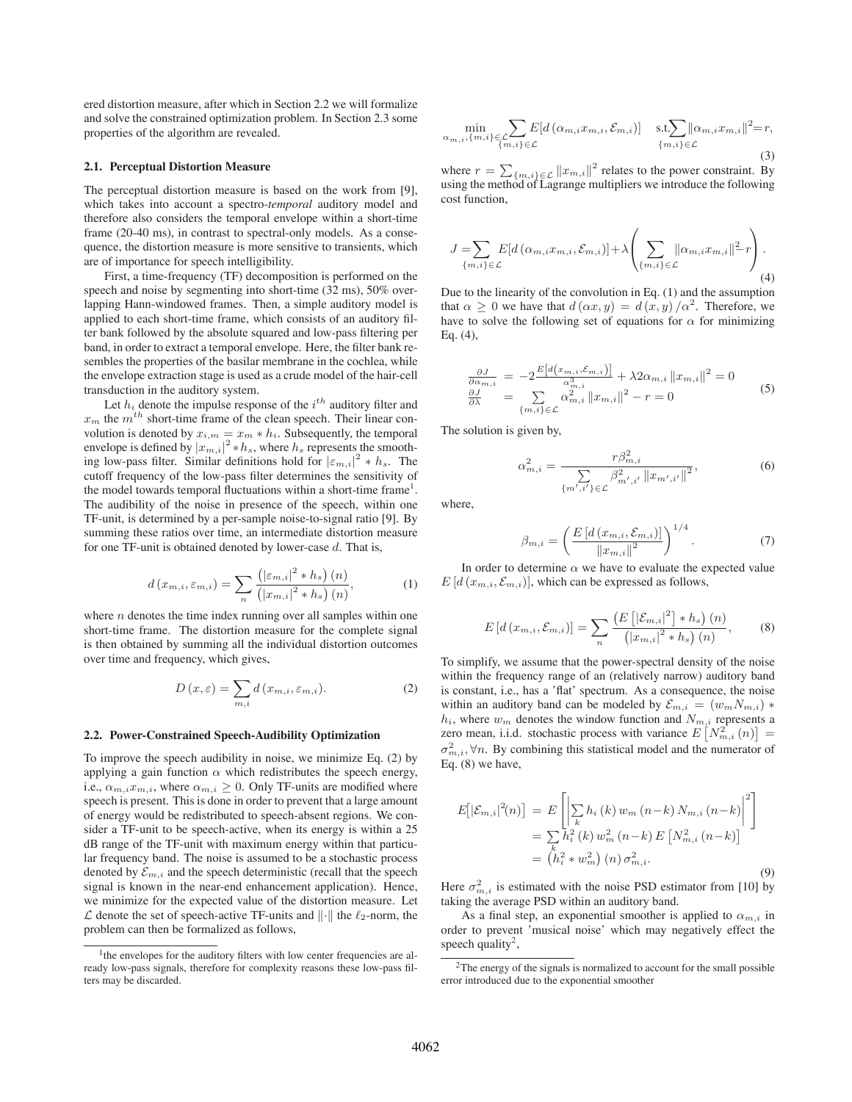ered distortion measure, after which in Section 2.2 we will formalize and solve the constrained optimization problem. In Section 2.3 some properties of the algorithm are revealed.

## **2.1. Perceptual Distortion Measure**

The perceptual distortion measure is based on the work from [9], which takes into account a spectro-*temporal* auditory model and therefore also considers the temporal envelope within a short-time frame (20-40 ms), in contrast to spectral-only models. As a consequence, the distortion measure is more sensitive to transients, which are of importance for speech intelligibility.

First, a time-frequency (TF) decomposition is performed on the speech and noise by segmenting into short-time (32 ms), 50% overlapping Hann-windowed frames. Then, a simple auditory model is applied to each short-time frame, which consists of an auditory filter bank followed by the absolute squared and low-pass filtering per band, in order to extract a temporal envelope. Here, the filter bank resembles the properties of the basilar membrane in the cochlea, while the envelope extraction stage is used as a crude model of the hair-cell transduction in the auditory system.

Let  $h_i$  denote the impulse response of the  $i^{th}$  auditory filter and  $x_m$  the  $m^{th}$  short-time frame of the clean speech. Their linear convolution is denoted by  $x_{i,m} = x_m * h_i$ . Subsequently, the temporal envelope is defined by  $|x_{m,i}|^2 * h_s$ , where  $h_s$  represents the smoothing low-pass filter. Similar definitions hold for  $|\varepsilon_{m,i}|^2 * h_s$ . The cutoff frequency of the low-pass filter determines the sensitivity of the model towards temporal fluctuations within a short-time frame<sup>1</sup>. The audibility of the noise in presence of the speech, within one TF-unit, is determined by a per-sample noise-to-signal ratio [9]. By summing these ratios over time, an intermediate distortion measure for one TF-unit is obtained denoted by lower-case d. That is,

$$
d\left(x_{m,i}, \varepsilon_{m,i}\right) = \sum_{n} \frac{\left(|\varepsilon_{m,i}|^2 * h_s\right)(n)}{\left(|x_{m,i}|^2 * h_s\right)(n)},\tag{1}
$$

where  $n$  denotes the time index running over all samples within one short-time frame. The distortion measure for the complete signal is then obtained by summing all the individual distortion outcomes over time and frequency, which gives,

$$
D(x,\varepsilon) = \sum_{m,i} d(x_{m,i}, \varepsilon_{m,i}).
$$
 (2)

#### **2.2. Power-Constrained Speech-Audibility Optimization**

To improve the speech audibility in noise, we minimize Eq. (2) by applying a gain function  $\alpha$  which redistributes the speech energy, i.e.,  $\alpha_{m,i}x_{m,i}$ , where  $\alpha_{m,i} \geq 0$ . Only TF-units are modified where speech is present. This is done in order to prevent that a large amount of energy would be redistributed to speech-absent regions. We consider a TF-unit to be speech-active, when its energy is within a 25 dB range of the TF-unit with maximum energy within that particular frequency band. The noise is assumed to be a stochastic process denoted by  $\mathcal{E}_{m,i}$  and the speech deterministic (recall that the speech signal is known in the near-end enhancement application). Hence, we minimize for the expected value of the distortion measure. Let  $\mathcal L$  denote the set of speech-active TF-units and  $\|\cdot\|$  the  $\ell_2$ -norm, the problem can then be formalized as follows,

$$
\min_{\alpha_{m,i},\{m,i\}\in\mathcal{L}} \sum_{\{m,i\}\in\mathcal{L}} E[d\left(\alpha_{m,i}x_{m,i},\mathcal{E}_{m,i}\right)] \quad \text{s.t.} \sum_{\{m,i\}\in\mathcal{L}} ||\alpha_{m,i}x_{m,i}||^2 = r,
$$
\n(3)

where  $r = \sum_{\{m,i\} \in \mathcal{L}} ||x_{m,i}||^2$  relates to the power constraint. By using the method of Lagrange multipliers we introduce the following cost function,

$$
J = \sum_{\{m,i\} \in \mathcal{L}} E[d(\alpha_{m,i}x_{m,i}, \mathcal{E}_{m,i})] + \lambda \left(\sum_{\{m,i\} \in \mathcal{L}} ||\alpha_{m,i}x_{m,i}||^2 - r\right).
$$
\n(4)

Due to the linearity of the convolution in Eq. (1) and the assumption that  $\alpha \geq 0$  we have that  $d(\alpha x, y) = d(x, y)/\alpha^2$ . Therefore, we have to solve the following set of equations for  $\alpha$  for minimizing Eq. (4),

$$
\frac{\partial J}{\partial \alpha_{m,i}} = -2 \frac{E[d(x_{m,i}, \mathcal{E}_{m,i})]}{\alpha_{m,i}^3} + \lambda 2 \alpha_{m,i} ||x_{m,i}||^2 = 0
$$
\n
$$
\frac{\partial J}{\partial \lambda} = \sum_{\{m,i\} \in \mathcal{L}} \alpha_{m,i}^2 ||x_{m,i}||^2 - r = 0
$$
\n(5)

The solution is given by,

$$
\alpha_{m,i}^{2} = \frac{r\beta_{m,i}^{2}}{\sum\limits_{\{m',i'\}\in\mathcal{L}}\beta_{m',i'}^{2}||x_{m',i'}||^{2}},\tag{6}
$$

where,

$$
\beta_{m,i} = \left(\frac{E\left[d\left(x_{m,i}, \mathcal{E}_{m,i}\right)\right]}{\|x_{m,i}\|^2}\right)^{1/4}.
$$
 (7)

In order to determine  $\alpha$  we have to evaluate the expected value  $E[d(x_{m,i}, \mathcal{E}_{m,i})]$ , which can be expressed as follows,

$$
E\left[d\left(x_{m,i}, \mathcal{E}_{m,i}\right)\right] = \sum_{n} \frac{\left(E\left[|\mathcal{E}_{m,i}|^2\right] * h_s\right)(n)}{\left(|x_{m,i}|^2 * h_s\right)(n)},\tag{8}
$$

To simplify, we assume that the power-spectral density of the noise within the frequency range of an (relatively narrow) auditory band is constant, i.e., has a 'flat' spectrum. As a consequence, the noise within an auditory band can be modeled by  $\mathcal{E}_{m,i} = (w_m N_{m,i}) *$  $h_i$ , where  $w_m$  denotes the window function and  $N_{m,i}$  represents a zero mean, i.i.d. stochastic process with variance  $E[N_{m,i}^{2}(n)] =$  $\sigma_{m,i}^2$ ,  $\forall n$ . By combining this statistical model and the numerator of Eq. (8) we have,

$$
E[|\mathcal{E}_{m,i}|^{2}(n)] = E\left[\left|\sum_{k} h_{i}(k) w_{m}(n-k) N_{m,i}(n-k)\right|^{2}\right]
$$
  
=  $\sum_{k} h_{i}^{2}(k) w_{m}^{2}(n-k) E[N_{m,i}^{2}(n-k)]$   
=  $(h_{i}^{2} * w_{m}^{2})(n) \sigma_{m,i}^{2}.$  (9)

Here  $\sigma_{m,i}^2$  is estimated with the noise PSD estimator from [10] by taking the average PSD within an auditory band.

As a final step, an exponential smoother is applied to  $\alpha_{m,i}$  in order to prevent 'musical noise' which may negatively effect the speech quality<sup>2</sup>,

 $1$ <sup>1</sup> the envelopes for the auditory filters with low center frequencies are already low-pass signals, therefore for complexity reasons these low-pass filters may be discarded.

<sup>&</sup>lt;sup>2</sup>The energy of the signals is normalized to account for the small possible error introduced due to the exponential smoother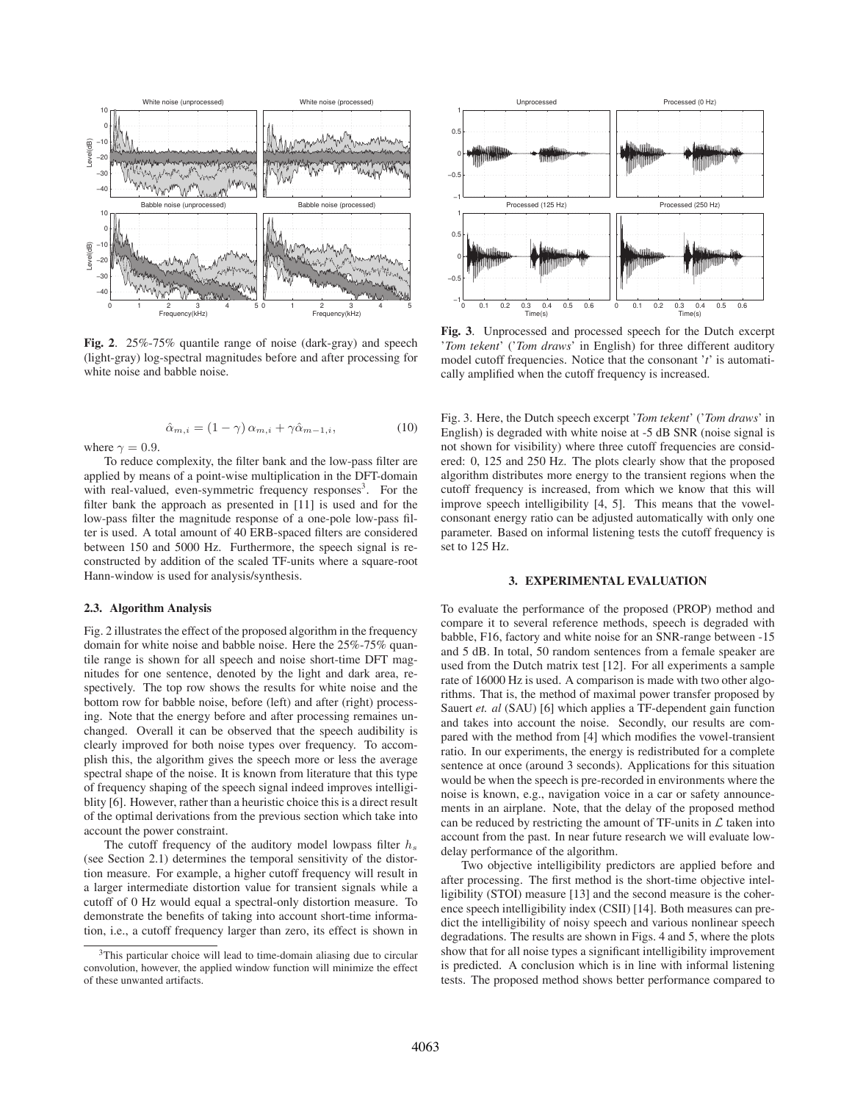

**Fig. 2**. 25%-75% quantile range of noise (dark-gray) and speech (light-gray) log-spectral magnitudes before and after processing for white noise and babble noise.

$$
\hat{\alpha}_{m,i} = (1 - \gamma) \alpha_{m,i} + \gamma \hat{\alpha}_{m-1,i}, \qquad (10)
$$

where  $\gamma = 0.9$ .

To reduce complexity, the filter bank and the low-pass filter are applied by means of a point-wise multiplication in the DFT-domain with real-valued, even-symmetric frequency responses<sup>3</sup>. For the filter bank the approach as presented in [11] is used and for the low-pass filter the magnitude response of a one-pole low-pass filter is used. A total amount of 40 ERB-spaced filters are considered between 150 and 5000 Hz. Furthermore, the speech signal is reconstructed by addition of the scaled TF-units where a square-root Hann-window is used for analysis/synthesis.

#### **2.3. Algorithm Analysis**

Fig. 2 illustrates the effect of the proposed algorithm in the frequency domain for white noise and babble noise. Here the 25%-75% quantile range is shown for all speech and noise short-time DFT magnitudes for one sentence, denoted by the light and dark area, respectively. The top row shows the results for white noise and the bottom row for babble noise, before (left) and after (right) processing. Note that the energy before and after processing remaines unchanged. Overall it can be observed that the speech audibility is clearly improved for both noise types over frequency. To accomplish this, the algorithm gives the speech more or less the average spectral shape of the noise. It is known from literature that this type of frequency shaping of the speech signal indeed improves intelligiblity [6]. However, rather than a heuristic choice this is a direct result of the optimal derivations from the previous section which take into account the power constraint.

The cutoff frequency of the auditory model lowpass filter  $h_s$ (see Section 2.1) determines the temporal sensitivity of the distortion measure. For example, a higher cutoff frequency will result in a larger intermediate distortion value for transient signals while a cutoff of 0 Hz would equal a spectral-only distortion measure. To demonstrate the benefits of taking into account short-time information, i.e., a cutoff frequency larger than zero, its effect is shown in



**Fig. 3**. Unprocessed and processed speech for the Dutch excerpt '*Tom tekent*' ('*Tom draws*' in English) for three different auditory model cutoff frequencies. Notice that the consonant '*t*' is automatically amplified when the cutoff frequency is increased.

Fig. 3. Here, the Dutch speech excerpt '*Tom tekent*' ('*Tom draws*' in English) is degraded with white noise at -5 dB SNR (noise signal is not shown for visibility) where three cutoff frequencies are considered: 0, 125 and 250 Hz. The plots clearly show that the proposed algorithm distributes more energy to the transient regions when the cutoff frequency is increased, from which we know that this will improve speech intelligibility [4, 5]. This means that the vowelconsonant energy ratio can be adjusted automatically with only one parameter. Based on informal listening tests the cutoff frequency is set to 125 Hz.

# **3. EXPERIMENTAL EVALUATION**

To evaluate the performance of the proposed (PROP) method and compare it to several reference methods, speech is degraded with babble, F16, factory and white noise for an SNR-range between -15 and 5 dB. In total, 50 random sentences from a female speaker are used from the Dutch matrix test [12]. For all experiments a sample rate of 16000 Hz is used. A comparison is made with two other algorithms. That is, the method of maximal power transfer proposed by Sauert *et. al* (SAU) [6] which applies a TF-dependent gain function and takes into account the noise. Secondly, our results are compared with the method from [4] which modifies the vowel-transient ratio. In our experiments, the energy is redistributed for a complete sentence at once (around 3 seconds). Applications for this situation would be when the speech is pre-recorded in environments where the noise is known, e.g., navigation voice in a car or safety announcements in an airplane. Note, that the delay of the proposed method can be reduced by restricting the amount of TF-units in  $\mathcal L$  taken into account from the past. In near future research we will evaluate lowdelay performance of the algorithm.

Two objective intelligibility predictors are applied before and after processing. The first method is the short-time objective intelligibility (STOI) measure [13] and the second measure is the coherence speech intelligibility index (CSII) [14]. Both measures can predict the intelligibility of noisy speech and various nonlinear speech degradations. The results are shown in Figs. 4 and 5, where the plots show that for all noise types a significant intelligibility improvement is predicted. A conclusion which is in line with informal listening tests. The proposed method shows better performance compared to

<sup>&</sup>lt;sup>3</sup>This particular choice will lead to time-domain aliasing due to circular convolution, however, the applied window function will minimize the effect of these unwanted artifacts.